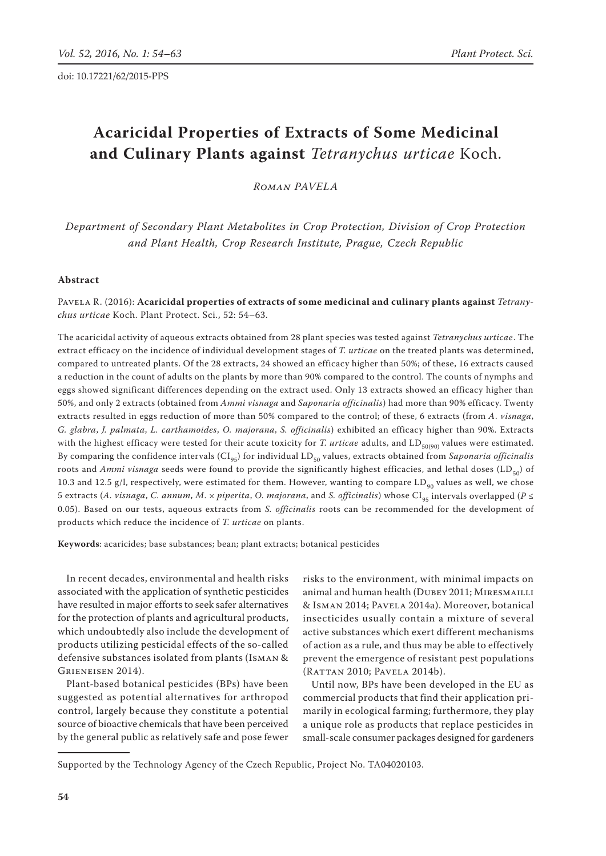# **Acaricidal Properties of Extracts of Some Medicinal and Culinary Plants against** *Tetranychus urticae* Koch.

*Roman Pavela*

*Department of Secondary Plant Metabolites in Crop Protection, Division of Crop Protection and Plant Health, Crop Research Institute, Prague, Czech Republic*

## **Abstract**

Pavela R. (2016): **Acaricidal properties of extracts of some medicinal and culinary plants against** *Tetranychus urticae* Koch. Plant Protect. Sci., 52: 54–63.

The acaricidal activity of aqueous extracts obtained from 28 plant species was tested against *Tetranychus urticae*. The extract efficacy on the incidence of individual development stages of *T. urticae* on the treated plants was determined, compared to untreated plants. Of the 28 extracts, 24 showed an efficacy higher than 50%; of these, 16 extracts caused a reduction in the count of adults on the plants by more than 90% compared to the control. The counts of nymphs and eggs showed significant differences depending on the extract used. Only 13 extracts showed an efficacy higher than 50%, and only 2 extracts (obtained from *Ammi visnaga* and *Saponaria officinalis*) had more than 90% efficacy. Twenty extracts resulted in eggs reduction of more than 50% compared to the control; of these, 6 extracts (from *A. visnaga*, *G. glabra*, *J. palmata*, *L. carthamoides*, *O. majorana*, *S. officinalis*) exhibited an efficacy higher than 90%. Extracts with the highest efficacy were tested for their acute toxicity for *T. urticae* adults, and LD<sub>50(90)</sub> values were estimated. By comparing the confidence intervals (CI<sub>95</sub>) for individual LD<sub>50</sub> values, extracts obtained from *Saponaria officinalis* roots and *Ammi visnaga* seeds were found to provide the significantly highest efficacies, and lethal doses (LD<sub>50</sub>) of 10.3 and 12.5 g/l, respectively, were estimated for them. However, wanting to compare  $LD_{90}$  values as well, we chose 5 extracts (*A. visnaga, C. annum, M. × piperita, O. majorana,* and *S. officinalis*) whose  $CI_{\alpha\alpha}$  intervals overlapped (*P* ≤ 0.05). Based on our tests, aqueous extracts from *S. officinalis* roots can be recommended for the development of products which reduce the incidence of *T. urticae* on plants.

**Keywords**: acaricides; base substances; bean; plant extracts; botanical pesticides

In recent decades, environmental and health risks associated with the application of synthetic pesticides have resulted in major efforts to seek safer alternatives for the protection of plants and agricultural products, which undoubtedly also include the development of products utilizing pesticidal effects of the so-called defensive substances isolated from plants (Isman & Grieneisen 2014).

Plant-based botanical pesticides (BPs) have been suggested as potential alternatives for arthropod control, largely because they constitute a potential source of bioactive chemicals that have been perceived by the general public as relatively safe and pose fewer

risks to the environment, with minimal impacts on animal and human health (DUBEY 2011; MIRESMAILLI & Isman 2014; Pavela 2014a). Moreover, botanical insecticides usually contain a mixture of several active substances which exert different mechanisms of action as a rule, and thus may be able to effectively prevent the emergence of resistant pest populations (Rattan 2010; Pavela 2014b).

Until now, BPs have been developed in the EU as commercial products that find their application primarily in ecological farming; furthermore, they play a unique role as products that replace pesticides in small-scale consumer packages designed for gardeners

Supported by the Technology Agency of the Czech Republic, Project No. TA04020103.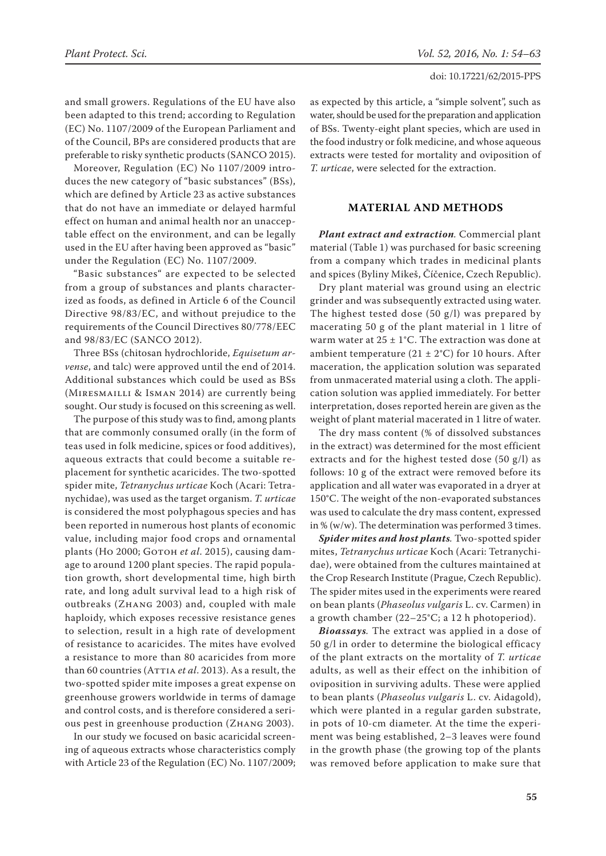and small growers. Regulations of the EU have also been adapted to this trend; according to Regulation (EC) No. 1107/2009 of the European Parliament and of the Council, BPs are considered products that are preferable to risky synthetic products (SANCO 2015).

Moreover, Regulation (EC) No 1107/2009 introduces the new category of "basic substances" (BSs), which are defined by Article 23 as active substances that do not have an immediate or delayed harmful effect on human and animal health nor an unacceptable effect on the environment, and can be legally used in the EU after having been approved as "basic" under the Regulation (EC) No. 1107/2009.

"Basic substances" are expected to be selected from a group of substances and plants characterized as foods, as defined in Article 6 of the Council Directive 98/83/EC, and without prejudice to the requirements of the Council Directives 80/778/EEC and 98/83/EC (SANCO 2012).

Three BSs (chitosan hydrochloride, *Equisetum arvense*, and talc) were approved until the end of 2014. Additional substances which could be used as BSs (Miresmailli & Isman 2014) are currently being sought. Our study is focused on this screening as well.

The purpose of this study was to find, among plants that are commonly consumed orally (in the form of teas used in folk medicine, spices or food additives), aqueous extracts that could become a suitable replacement for synthetic acaricides. The two-spotted spider mite, *Tetranychus urticae* Koch (Acari: Tetranychidae), was used as the target organism. *T. urticae* is considered the most polyphagous species and has been reported in numerous host plants of economic value, including major food crops and ornamental plants (Но 2000; Gотон et al. 2015), causing damage to around 1200 plant species. The rapid population growth, short developmental time, high birth rate, and long adult survival lead to a high risk of outbreaks (Zhang 2003) and, coupled with male haploidy, which exposes recessive resistance genes to selection, result in a high rate of development of resistance to acaricides. The mites have evolved a resistance to more than 80 acaricides from more than 60 countries (ATTIA *et al.* 2013). As a result, the two-spotted spider mite imposes a great expense on greenhouse growers worldwide in terms of damage and control costs, and is therefore considered a serious pest in greenhouse production (Zhang 2003).

In our study we focused on basic acaricidal screening of aqueous extracts whose characteristics comply with Article 23 of the Regulation (EC) No. 1107/2009; as expected by this article, a "simple solvent", such as water, should be used for the preparation and application of BSs. Twenty-eight plant species, which are used in the food industry or folk medicine, and whose aqueous extracts were tested for mortality and oviposition of *T. urticae*, were selected for the extraction.

## **Material and methods**

*Plant extract and extraction.* Commercial plant material (Table 1) was purchased for basic screening from a company which trades in medicinal plants and spices (Byliny Mikeš, Číčenice, Czech Republic).

Dry plant material was ground using an electric grinder and was subsequently extracted using water. The highest tested dose (50 g/l) was prepared by macerating 50 g of the plant material in 1 litre of warm water at  $25 \pm 1$ °C. The extraction was done at ambient temperature ( $21 \pm 2$ °C) for 10 hours. After maceration, the application solution was separated from unmacerated material using a cloth. The application solution was applied immediately. For better interpretation, doses reported herein are given as the weight of plant material macerated in 1 litre of water.

The dry mass content (% of dissolved substances in the extract) was determined for the most efficient extracts and for the highest tested dose (50 g/l) as follows: 10 g of the extract were removed before its application and all water was evaporated in a dryer at 150°C. The weight of the non-evaporated substances was used to calculate the dry mass content, expressed in % (w/w). The determination was performed 3 times.

*Spider mites and host plants.* Two-spotted spider mites, *Tetranychus urticae* Koch (Acari: Tetranychidae), were obtained from the cultures maintained at the Crop Research Institute (Prague, Czech Republic). The spider mites used in the experiments were reared on bean plants (*Phaseolus vulgaris* L. cv. Carmen) in a growth chamber (22–25°C; a 12 h photoperiod).

*Bioassays.* The extract was applied in a dose of 50 g/l in order to determine the biological efficacy of the plant extracts on the mortality of *T. urticae* adults, as well as their effect on the inhibition of oviposition in surviving adults. These were applied to bean plants (*Phaseolus vulgaris* L. cv. Aidagold), which were planted in a regular garden substrate, in pots of 10-cm diameter. At the time the experiment was being established, 2–3 leaves were found in the growth phase (the growing top of the plants was removed before application to make sure that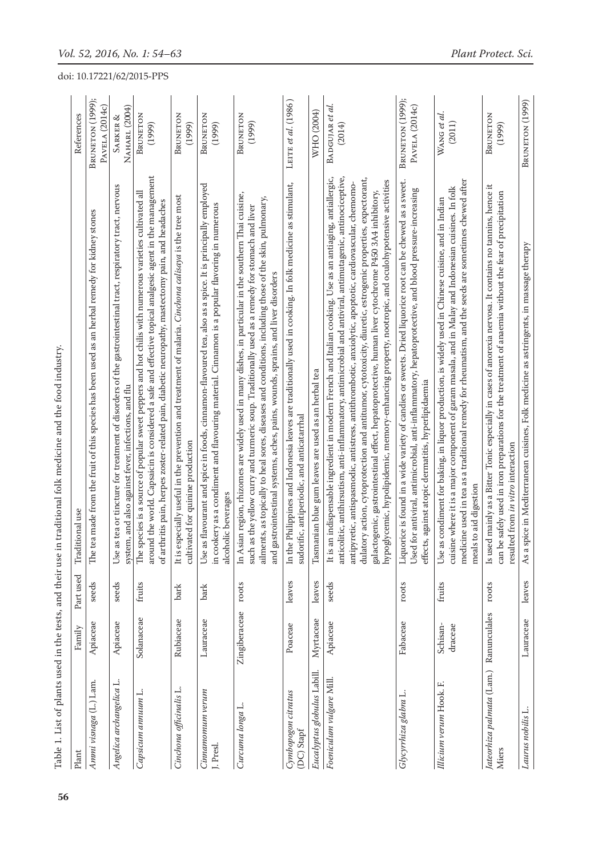| Table 1. List of plants used in the tests, and their use in<br>Plant | Family              | Part used | traditional folk medicine and the food industry.<br>Traditional use                                                                                                                                                                                                                                                                                                                                                                                                                                                                                                                                                                                              | References                         |
|----------------------------------------------------------------------|---------------------|-----------|------------------------------------------------------------------------------------------------------------------------------------------------------------------------------------------------------------------------------------------------------------------------------------------------------------------------------------------------------------------------------------------------------------------------------------------------------------------------------------------------------------------------------------------------------------------------------------------------------------------------------------------------------------------|------------------------------------|
| Ammi visnaga (L.) Lam.                                               | Apiaceae            | seeds     | The tea made from the fruit of this species has been used as an herbal remedy for kidney stones                                                                                                                                                                                                                                                                                                                                                                                                                                                                                                                                                                  | BRUNETON (1999);<br>PAVELA (2014c) |
| Angelica archangelica L                                              | Apiaceae            | seeds     | Use as tea or tincture for treatment of disorders of the gastrointestinal tract, respiratory tract, nervous<br>system, and also against fever, infections, and flu                                                                                                                                                                                                                                                                                                                                                                                                                                                                                               | NAHARL (2004)<br>SARKER &          |
| Сарзісит аппиит L                                                    | Solanaceae          | fruits    | around the world. Capsaicin is considered a safe and effective topical analgesic agent in the management<br>The species is a source of popular sweet peppers and hot chilis with numerous varieties cultivated all<br>of arthritis pain, herpes zoster-related pain, diabetic neuropathy, mastectomy pain, and headaches                                                                                                                                                                                                                                                                                                                                         | BRUNETON<br>(1999)                 |
| Cinchona officinalis L                                               | Rubiaceae           | bark      | It is especially useful in the prevention and treatment of malaria. Cinchona calisaya is the tree most<br>cultivated for quinine production                                                                                                                                                                                                                                                                                                                                                                                                                                                                                                                      | BRUNETON<br>(1999)                 |
| Cinnamomum verum<br>J. Presl.                                        | Lauraceae           | bark      | Use as flavourant and spice in foods, cinnamon-flavoured tea, also as a spice. It is principally employed<br>in cookery as a condiment and flavouring material. Cinnamon is a popular flavoring in numerous<br>alcoholic beverages                                                                                                                                                                                                                                                                                                                                                                                                                               | BRUNETON<br>(1999)                 |
| Curcuma longa L.                                                     | Zingiberaceae       | roots     | In Asian region, rhizomes are widely used in many dishes, in particular in the southern Thai cuisine,<br>ailments, as topically to heal sores, diseases and conditions, including those of the skin, pulmonary,<br>such as the yellow curry and turmeric soup. Traditionally used as a remedy for stomach and liver<br>and gastrointestinal systems, aches, pains, wounds, sprains, and liver disorders                                                                                                                                                                                                                                                          | BRUNETON<br>(1999)                 |
| Cymbopogon citratus<br>(DC) Stapf                                    | Poaceae             | leaves    | Philippines and Indonesia leaves are traditionally used in cooking. In folk medicine as stimulant,<br>sudorific, antiperiodic, and anticatarrhal<br>In the 1                                                                                                                                                                                                                                                                                                                                                                                                                                                                                                     | LEITE et al. (1986)                |
| Eucalyptus globulus Labill.                                          | Myrtaceae           | leaves    | Tasmanian blue gum leaves are used as an herbal tea                                                                                                                                                                                                                                                                                                                                                                                                                                                                                                                                                                                                              | WHO (2004)                         |
| Foeniculum vulgare Mill                                              | Apiaceae            | seeds     | It is an indispensable ingredient in modern French and Italian cooking. Use as an antiaging, antiallergic,<br>anticolitic, antihirsutism, anti-inflammatory, antimicrobial and antiviral, antimutagenic, antinociceptive,<br>dulatory action, cytoprotection and antitumor, cytotoxicity, diuretic, estrogenic properties, expectorant,<br>galactogenic, gastrointestinal effect, hepatoprotective, human liver cytochrome P450 3A4 inhibitory,<br>hypoglycemic, hypolipidemic, memory-enhancing property, nootropic, and oculohypotensive activities<br>antipyretic, antispasmodic, antistress, antithrombotic, anxiolytic, apoptotic, cardiovascular, chemomo- | BADGUJAR et al.<br>(2014)          |
| Glycyrrhiza glabra L.                                                | Fabaceae            | roots     | Liquorice is found in a wide variety of candies or sweets. Dried liquorice root can be chewed as a sweet.<br>for antiviral, antimicrobial, anti-inflammatory, hepatoprotective, and blood pressure-increasing<br>effects, against atopic dermatitis, hyperlipidaemia<br>Used f                                                                                                                                                                                                                                                                                                                                                                                   | BRUNETON (1999);<br>PAVELA (2014c) |
| Illicium verum Hook. F.                                              | Schisan-<br>draceae | fruits    | medicine used in tea as a traditional remedy for rheumatism, and the seeds are sometimes chewed after<br>cuisine where it is a major component of garam masala, and in Malay and Indonesian cuisines. In folk<br>Use as condiment for baking, in liquor production, is widely used in Chinese cuisine, and in Indian<br>meals to aid digestion                                                                                                                                                                                                                                                                                                                   | WANG et al.<br>(2011)              |
| Jateorhiza palmata (Lam.)<br>Miers                                   | Ranunculales        | roots     | Is used mainly as a Bitter Tonic especially in cases of anorexia nervosa. It contains no tannins, hence it<br>can be safely used in iron preparations for the treatment of anaemia without the fear of precipitation<br>resulted from in vitro interaction                                                                                                                                                                                                                                                                                                                                                                                                       | BRUNETON<br>(1999)                 |
| Laurus nobilis L.                                                    | Lauraceae           | leaves    | As a spice in Mediterranean cuisines, Folk medicine as astringents, in massage therapy                                                                                                                                                                                                                                                                                                                                                                                                                                                                                                                                                                           | BRUNETON (1999)                    |

Table 1. List of plants used in the tests, and their use in traditional folk medicine and the food industry.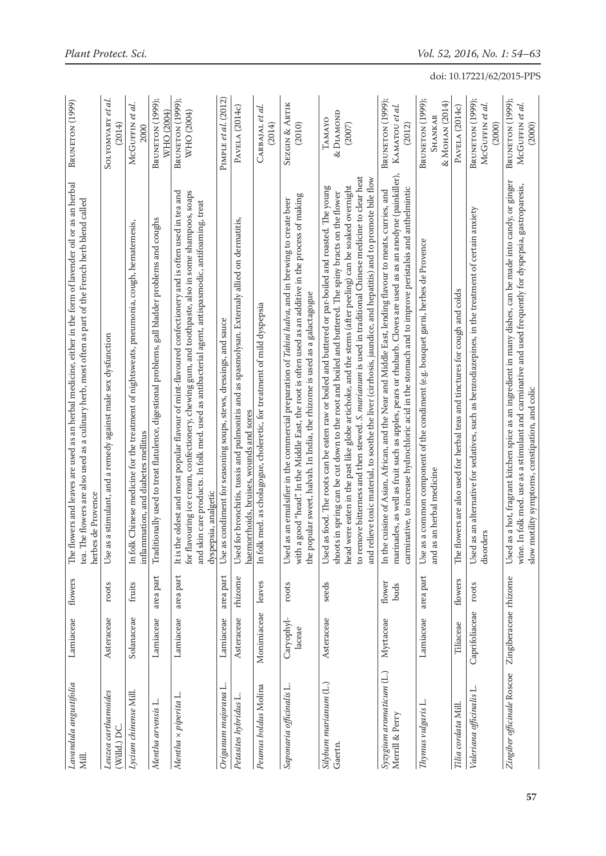| Lavandula angustifolia<br>Mill.             | Lamiaceae             | flowers        | The flowers and leaves are used as an herbal medicine, either in the form of lavender oil or as an herbal<br>The flowers are also used as a culinary herb, most often as part of the French herb blend called<br>herbes de Provence<br>tea. T                                                                                                                                                                                                                                                                                                          | BRUNETON (1999)                                      |
|---------------------------------------------|-----------------------|----------------|--------------------------------------------------------------------------------------------------------------------------------------------------------------------------------------------------------------------------------------------------------------------------------------------------------------------------------------------------------------------------------------------------------------------------------------------------------------------------------------------------------------------------------------------------------|------------------------------------------------------|
| Leuzea carthamoides<br>(Willd.) DC          | Asteraceae            | roots          | s a stimulant, and a remedy against male sex dysfunction<br>Use a                                                                                                                                                                                                                                                                                                                                                                                                                                                                                      | et al.<br>SOLYOMVARY<br>(2014)                       |
| Lycium chinense Mill.                       | Solanaceae            | fruits         | k Chinese medicine for the treatment of nightsweats, pneumonia, cough, hematemesis,<br>inflammation, and diabetes mellitus<br>$In f_0$                                                                                                                                                                                                                                                                                                                                                                                                                 | McGUFFIN et al.<br>2000                              |
| Mentha arvensis L.                          | Lamiaceae             | area part      | Traditionally used to treat flatulence, digestional problems, gall bladder problems and coughs                                                                                                                                                                                                                                                                                                                                                                                                                                                         | BRUNETON (1999);<br>WHO (2004)                       |
| Mentha × piperita L.                        | Lamiaceae             | area part      | It is the oldest and most popular flavour of mint-flavoured confectionery and is often used in tea and<br>for flavouring ice cream, confectionery, chewing gum, and toothpaste, also in some shampoos, soaps<br>and skin care products. In folk med. used as antibacterial agent, antispasmodic, antifoaming, treat<br>dyspepsia, analgetic                                                                                                                                                                                                            | BRUNETON (1999);<br>WHO (2004)                       |
| Origanum majorana L.                        | Lamiaceae             | area part      | Use as condiment for seasoning soups, stews, dressings, and sauce                                                                                                                                                                                                                                                                                                                                                                                                                                                                                      | PIMPLE et al. (2012)                                 |
| Petasites hybridus L                        | Asteraceae            | rhizome        | for bronchitis, tussis and pulmonitis and as spasmolysan. Externaly allied on dermatitis,<br>haemorrhoids, bruises, wounds and sores<br>Used                                                                                                                                                                                                                                                                                                                                                                                                           | PAVELA (2014c)                                       |
| Peumus boldus Molina                        | Monimiaceae           | leaves         | k med. as cholagogue, choleretic, for treatment of mild dyspepsia<br>$In f_0$                                                                                                                                                                                                                                                                                                                                                                                                                                                                          | CARBAJAL et al.<br>(2014)                            |
| Saponaria officinalis L.                    | Caryophyl-<br>laceae  | roots          | with a good "head". In the Middle East, the root is often used as an additive in the process of making<br>as an emulsifier in the commercial preparation of <i>Tahini halva</i> , and in brewing to create beer<br>the popular sweet, halvah. In India, the rhizome is used as a galactagogue<br>Used                                                                                                                                                                                                                                                  | SEZGIN & ARTIK<br>(2010)                             |
| Silybum marianum (L.)<br>Gaertn.            | Asteraceae            | seeds          | to remove bitterness and then stewed. S. marianum is used in traditional Chinese medicine to clear heat<br>and relieve toxic material, to soothe the liver (cirrhosis, jaundice, and hepatitis) and to promote bile flow<br>head were eaten in the past like globe artichoke, and the stems (after peeling) can be soaked overnight<br>as food. The roots can be eaten raw or boiled and buttered or par-boiled and roasted. The young<br>shoots in spring can be cut down to the root and boiled and buttered. The spiny bracts on the flower<br>Used | & DIAMOND<br>TAMAYO<br>(2007)                        |
| Syzygium aromaticum (L.)<br>Merrill & Perry | Myrtaceae             | flower<br>buds | marinades, as well as fruit such as apples, pears or rhubarb. Cloves are used as as an anodyne (painkiller),<br>carminative, to increase hydrochloric acid in the stomach and to improve peristalsis and anthelmintic<br>In the cuisine of Asian, African, and the Near and Middle East, lending flavour to meats, curries, and                                                                                                                                                                                                                        | BRUNETON (1999);<br>KAMATOU et al.<br>(2012)         |
| Thymus vulgaris L                           | Lamiaceae             | area part      | Use as a common component of the condiment (e.g. bouquet garni, herbes de Provence<br>and as an herbal medicine                                                                                                                                                                                                                                                                                                                                                                                                                                        | BRUNETON (1999);<br>& Монам (2014)<br><b>SHANKAR</b> |
| Tilia cordata Mill.                         | Tiliaceae             | flowers        | The flowers are also used for herbal teas and tinctures for cough and colds                                                                                                                                                                                                                                                                                                                                                                                                                                                                            | PAVELA (2014c)                                       |
| Valeriana officinalis L.                    | Caprifoliaceae        | roots          | as an alternative for sedatives, such as benzodiazepines, in the treatment of certain anxiety<br>disorders<br>Used                                                                                                                                                                                                                                                                                                                                                                                                                                     | BRUNETON (1999);<br>MCGUFFIN et al.<br>(2000)        |
| Zingiber officinale Roscoe                  | Zingiberaceae rhizome |                | as a hot, fragrant kitchen spice as an ingredient in many dishes, can be made into candy, or ginger<br>In folk med. use as a stimulant and carminative and used frequently for dyspepsia, gastroparesis,<br>motility symptoms, constipation, and colic<br>Used<br>wine.<br>slow                                                                                                                                                                                                                                                                        | BRUNETON (1999);<br>McGUFFIN et al.<br>(2000)        |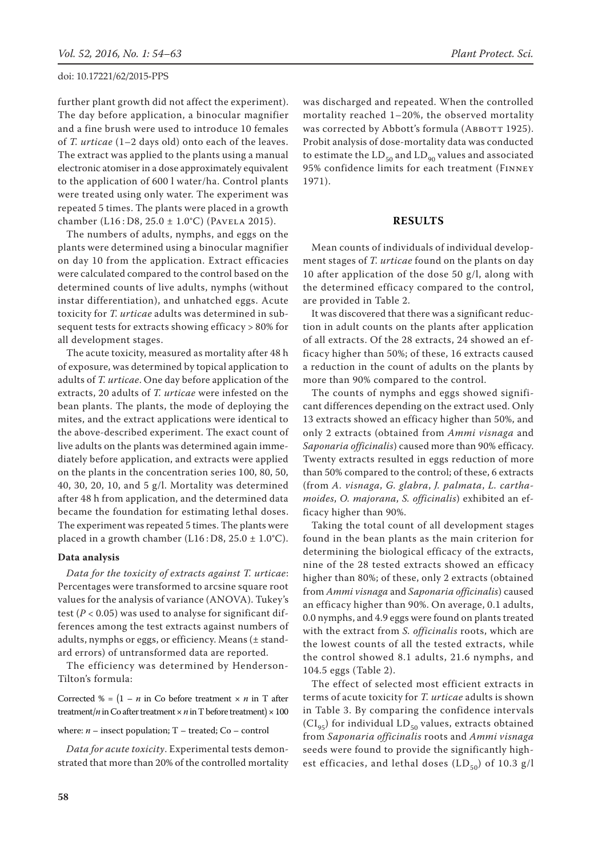further plant growth did not affect the experiment). The day before application, a binocular magnifier and a fine brush were used to introduce 10 females of *T. urticae* (1–2 days old) onto each of the leaves. The extract was applied to the plants using a manual electronic atomiser in a dose approximately equivalent to the application of 600 l water/ha. Control plants were treated using only water. The experiment was repeated 5 times. The plants were placed in a growth chamber (L16 : D8, 25.0 ± 1.0°C) (Pavela 2015).

The numbers of adults, nymphs, and eggs on the plants were determined using a binocular magnifier on day 10 from the application. Extract efficacies were calculated compared to the control based on the determined counts of live adults, nymphs (without instar differentiation), and unhatched eggs. Acute toxicity for *T. urticae* adults was determined in subsequent tests for extracts showing efficacy > 80% for all development stages.

The acute toxicity, measured as mortality after 48 h of exposure, was determined by topical application to adults of *T. urticae*. One day before application of the extracts, 20 adults of *T. urticae* were infested on the bean plants. The plants, the mode of deploying the mites, and the extract applications were identical to the above-described experiment. The exact count of live adults on the plants was determined again immediately before application, and extracts were applied on the plants in the concentration series 100, 80, 50, 40, 30, 20, 10, and 5 g/l. Mortality was determined after 48 h from application, and the determined data became the foundation for estimating lethal doses. The experiment was repeated 5 times. The plants were placed in a growth chamber (L16: D8,  $25.0 \pm 1.0^{\circ}$ C).

## **Data analysis**

*Data for the toxicity of extracts against T. urticae*: Percentages were transformed to arcsine square root values for the analysis of variance (ANOVA). Tukey's test ( $P < 0.05$ ) was used to analyse for significant differences among the test extracts against numbers of adults, nymphs or eggs, or efficiency. Means (± standard errors) of untransformed data are reported.

The efficiency was determined by Henderson-Tilton's formula:

Corrected  $\% = (1 - n \text{ in } \text{Co} \text{ before treatment } \times n \text{ in } \text{T} \text{ after})$ treatment/ $n$  in Co after treatment  $\times n$  in T before treatment)  $\times 100$ 

where:  $n -$  insect population;  $T -$  treated;  $Co -$  control

*Data for acute toxicity*. Experimental tests demonstrated that more than 20% of the controlled mortality was discharged and repeated. When the controlled mortality reached 1–20%, the observed mortality was corrected by Abbott's formula (ABBOTT 1925). Probit analysis of dose-mortality data was conducted to estimate the  $LD_{50}$  and  $LD_{90}$  values and associated 95% confidence limits for each treatment (Finney 1971).

## **Results**

Mean counts of individuals of individual development stages of *T. urticae* found on the plants on day 10 after application of the dose 50 g/l, along with the determined efficacy compared to the control, are provided in Table 2.

It was discovered that there was a significant reduction in adult counts on the plants after application of all extracts. Of the 28 extracts, 24 showed an efficacy higher than 50%; of these, 16 extracts caused a reduction in the count of adults on the plants by more than 90% compared to the control.

The counts of nymphs and eggs showed significant differences depending on the extract used. Only 13 extracts showed an efficacy higher than 50%, and only 2 extracts (obtained from *Ammi visnaga* and *Saponaria officinalis*) caused more than 90% efficacy. Twenty extracts resulted in eggs reduction of more than 50% compared to the control; of these, 6 extracts (from *A. visnaga*, *G. glabra*, *J. palmata*, *L. carthamoides*, *O. majorana*, *S. officinalis*) exhibited an efficacy higher than 90%.

Taking the total count of all development stages found in the bean plants as the main criterion for determining the biological efficacy of the extracts, nine of the 28 tested extracts showed an efficacy higher than 80%; of these, only 2 extracts (obtained from *Ammi visnaga* and *Saponaria officinalis*) caused an efficacy higher than 90%. On average, 0.1 adults, 0.0 nymphs, and 4.9 eggs were found on plants treated with the extract from *S. officinalis* roots, which are the lowest counts of all the tested extracts, while the control showed 8.1 adults, 21.6 nymphs, and 104.5 eggs (Table 2).

The effect of selected most efficient extracts in terms of acute toxicity for *T. urticae* adults is shown in Table 3. By comparing the confidence intervals  $(Cl_{95})$  for individual  $LD_{50}$  values, extracts obtained from *Saponaria officinalis* roots and *Ammi visnaga* seeds were found to provide the significantly highest efficacies, and lethal doses  $(LD_{50})$  of 10.3 g/l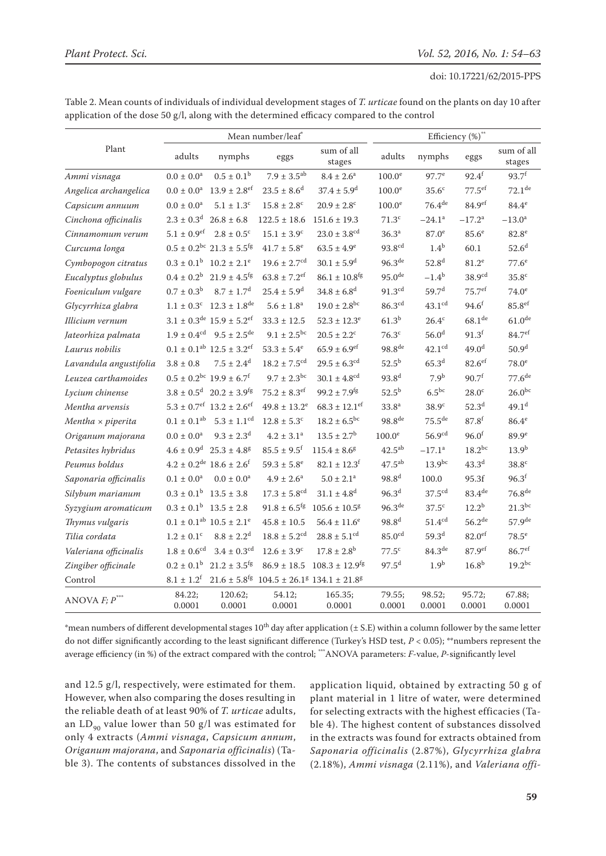| Table 2. Mean counts of individuals of individual development stages of T. urticae found on the plants on day 10 after |
|------------------------------------------------------------------------------------------------------------------------|
| application of the dose $50 g/l$ , along with the determined efficacy compared to the control                          |

|                          |                       |                                                          | Mean number/leaf*            |                                                                                          |                      |                      | Efficiency (%)**     |                      |
|--------------------------|-----------------------|----------------------------------------------------------|------------------------------|------------------------------------------------------------------------------------------|----------------------|----------------------|----------------------|----------------------|
| Plant                    | adults                | nymphs                                                   | eggs                         | sum of all<br>stages                                                                     | adults               | nymphs               | eggs                 | sum of all<br>stages |
| Ammi visnaga             | $0.0 \pm 0.0^a$       | $0.5 \pm 0.1^{\rm b}$                                    | $7.9 \pm 3.5^{ab}$           | $8.4 \pm 2.6^a$                                                                          | 100.0 <sup>e</sup>   | $97.7^e$             | $92.4^{f}$           | $93.7^{f}$           |
| Angelica archangelica    | $0.0\pm0.0^{\rm a}$   | $13.9 \pm 2.8$ <sup>ef</sup>                             | $23.5 \pm 8.6^d$             | $37.4 \pm 5.9^{\rm d}$                                                                   | $100.0^e$            | 35.6 <sup>c</sup>    | $77.5$ <sup>ef</sup> | $72.1$ <sup>de</sup> |
| Capsicum annuum          | $0.0 \pm 0.0^a$       | $5.1 \pm 1.3^c$                                          | $15.8 \pm 2.8$ <sup>c</sup>  | $20.9 \pm 2.8$ <sup>c</sup>                                                              | 100.0 <sup>e</sup>   | 76.4 <sup>de</sup>   | 84.9 <sup>ef</sup>   | $84.4^\mathrm{e}$    |
| Cinchona officinalis     | $2.3\pm0.3^{\rm d}$   | $26.8 \pm 6.8$                                           | $122.5 \pm 18.6$             | $151.6 \pm 19.3$                                                                         | 71.3 <sup>c</sup>    | $-24.1^a$            | $-17.2^a$            | $-13.0^{\rm a}$      |
| Cinnamomum verum         | $5.1\pm0.9^{\rm e f}$ | $2.8 \pm 0.5^{\circ}$                                    | $15.1 \pm 3.9^c$             | $23.0 \pm 3.8^{\rm cd}$                                                                  | 36.3 <sup>a</sup>    | 87.0 <sup>e</sup>    | 85.6 <sup>e</sup>    | 82.8 <sup>e</sup>    |
| Curcuma longa            |                       | $0.5 \pm 0.2^{\rm bc}$ 21.3 $\pm 5.5^{\rm fg}$           | $41.7 \pm 5.8^e$             | $63.5 \pm 4.9^e$                                                                         | 93.8 <sup>cd</sup>   | 1.4 <sup>b</sup>     | 60.1                 | 52.6 <sup>d</sup>    |
| Cymbopogon citratus      | $0.3\pm0.1^{\rm b}$   | $10.2 \pm 2.1^e$                                         | $19.6 \pm 2.7$ <sup>cd</sup> | $30.1 \pm 5.9^d$                                                                         | 96.3 <sup>de</sup>   | 52.8 <sup>d</sup>    | $81.2^e$             | 77.6 <sup>e</sup>    |
| Eucalyptus globulus      | $0.4\pm0.2^{\rm b}$   | $21.9 \pm 4.5$ <sup>fg</sup>                             | $63.8 \pm 7.2$ <sup>ef</sup> | $86.1 \pm 10.8^\mathrm{fg}$                                                              | 95.0 <sup>de</sup>   | $-1.4^{b}$           | 38.9 <sup>cd</sup>   | 35.8 <sup>c</sup>    |
| Foeniculum vulgare       | $0.7\pm0.3^{\rm b}$   | $8.7 \pm 1.7^{\rm d}$                                    | $25.4 \pm 5.9^{\rm d}$       | $34.8 \pm 6.8$ <sup>d</sup>                                                              | $91.3^{\text{cd}}$   | 59.7 <sup>d</sup>    | 75.7 <sup>ef</sup>   | $74.0^e$             |
| Glycyrrhiza glabra       | $1.1\pm0.3^{\rm c}$   | $12.3 \pm 1.8^{\text{de}}$                               | $5.6 \pm 1.8^a$              | $19.0 \pm 2.8$ <sup>bc</sup>                                                             | 86.3 <sup>cd</sup>   | 43.1 <sup>cd</sup>   | $94.6^f$             | 85.8 <sup>ef</sup>   |
| Illicium vernum          |                       | $3.1 \pm 0.3^{\text{de}} 15.9 \pm 5.2^{\text{ef}}$       | $33.3 \pm 12.5$              | $52.3 \pm 12.3^e$                                                                        | 61.3 <sup>b</sup>    | $26.4^c$             | 68.1 <sup>de</sup>   | 61.0 <sup>de</sup>   |
| Jateorhiza palmata       | $1.9\pm0.4^{\rm cd}$  | $9.5 \pm 2.5^{\text{de}}$                                | $9.1 \pm 2.5^{\rm bc}$       | $20.5 \pm 2.2$ <sup>c</sup>                                                              | $76.3^{\circ}$       | 56.0 <sup>d</sup>    | $91.3$ <sup>f</sup>  | 84.7 <sup>ef</sup>   |
| Laurus nobilis           |                       | $0.1 \pm 0.1$ <sup>ab</sup> $12.5 \pm 3.2$ <sup>ef</sup> | $53.3 \pm 5.4^e$             | $65.9 \pm 6.9$ <sup>ef</sup>                                                             | $98.8$ <sup>de</sup> | $42.1$ <sup>cd</sup> | 49.0 <sup>d</sup>    | 50.9 <sup>d</sup>    |
| Lavandula angustifolia   | $3.8 \pm 0.8$         | $7.5 \pm 2.4^d$                                          | $18.2 \pm 7.5^{\rm cd}$      | $29.5 \pm 6.3$ <sup>cd</sup>                                                             | $52.5^{b}$           | 65.3 <sup>d</sup>    | $82.6$ ef            | 78.0 <sup>e</sup>    |
| Leuzea carthamoides      |                       | $0.5 \pm 0.2^{\rm bc}$ 19.9 $\pm 6.7^{\rm f}$            | $9.7 \pm 2.3^{bc}$           | $30.1 \pm 4.8$ <sup>cd</sup>                                                             | $93.8^{d}$           | 7.9 <sup>b</sup>     | 90.7 <sup>f</sup>    | 77.6 <sup>de</sup>   |
| Lycium chinense          | $3.8\pm0.5^{\rm d}$   | $20.2 \pm 3.9$ <sup>fg</sup>                             | $75.2 \pm 8.3$ <sup>ef</sup> | $99.2 \pm 7.9$ <sup>fg</sup>                                                             | $52.5^{b}$           | $6.5^{bc}$           | 28.0 <sup>c</sup>    | $26.0^{bc}$          |
| Mentha arvensis          |                       | $5.3 \pm 0.7$ <sup>ef</sup> 13.2 ± 2.6 <sup>ef</sup>     | $49.8 \pm 13.2^e$            | $68.3 \pm 12.1$ <sup>ef</sup>                                                            | 33.8 <sup>a</sup>    | 38.9 <sup>c</sup>    | 52.3 <sup>d</sup>    | 49.1 <sup>d</sup>    |
| $Mentha \times piperita$ | $0.1\pm0.1^{\rm ab}$  | $5.3 \pm 1.1$ <sup>cd</sup>                              | $12.8 \pm 5.3^c$             | $18.2 \pm 6.5^{bc}$                                                                      | 98.8 <sup>de</sup>   | 75.5 <sup>de</sup>   | $87.8^{f}$           | $86.4^\mathrm{e}$    |
| Origanum majorana        | $0.0 \pm 0.0^a$       | $9.3 \pm 2.3$ <sup>d</sup>                               | $4.2 \pm 3.1^a$              | $13.5 \pm 2.7^{\rm b}$                                                                   | 100.0 <sup>e</sup>   | 56.9 <sup>cd</sup>   | 96.0 <sup>f</sup>    | 89.9 <sup>e</sup>    |
| Petasites hybridus       | $4.6\pm0.9^{\rm d}$   | $25.3 \pm 4.8^g$                                         | $85.5 \pm 9.5$ <sup>f</sup>  | $115.4 \pm 8.6^g$                                                                        | $42.5^{\text{ab}}$   | $-17.1^a$            | $18.2^{bc}$          | $13.9^{b}$           |
| Peumus boldus            |                       | $4.2 \pm 0.2^{\text{de}}$ 18.6 $\pm 2.6^{\text{f}}$      | $59.3 \pm 5.8^{\rm e}$       | $82.1 \pm 12.3$ <sup>f</sup>                                                             | $47.5^{ab}$          | $13.9^{bc}$          | 43.3 <sup>d</sup>    | 38.8 <sup>c</sup>    |
| Saponaria officinalis    | $0.1 \pm 0.0^a$       | $0.0 \pm 0.0^a$                                          | $4.9 \pm 2.6^a$              | $5.0 \pm 2.1^a$                                                                          | 98.8 <sup>d</sup>    | 100.0                | 95.3f                | 96.3 <sup>f</sup>    |
| Silybum marianum         | $0.3\pm0.1^{\rm b}$   | $13.5 \pm 3.8$                                           | $17.3 \pm 5.8$ <sup>cd</sup> | $31.1 \pm 4.8$ <sup>d</sup>                                                              | 96.3 <sup>d</sup>    | 37.5 <sup>cd</sup>   | $83.4^\text{de}$     | 76.8 <sup>de</sup>   |
| Syzygium aromaticum      | $0.3 \pm 0.1^{\rm b}$ | $13.5 \pm 2.8$                                           | $91.8 \pm 6.5$ <sup>fg</sup> | $105.6 \pm 10.5^g$                                                                       | 96.3 <sup>de</sup>   | $37.5^{\circ}$       | $12.2^{b}$           | $21.3^{bc}$          |
| Thymus vulgaris          |                       | $0.1 \pm 0.1$ <sup>ab</sup> $10.5 \pm 2.1$ <sup>e</sup>  | $45.8 \pm 10.5$              | $56.4 \pm 11.6^e$                                                                        | $98.8^{d}$           | 51.4 <sup>cd</sup>   | 56.2 <sup>de</sup>   | 57.9 <sup>de</sup>   |
| Tilia cordata            | $1.2\pm0.1^{\rm c}$   | $8.8 \pm 2.2^d$                                          | $18.8\pm5.2^{\rm cd}$        | $28.8 \pm 5.1^{\text{cd}}$                                                               | $85.0$ <sup>cd</sup> | 59.3 <sup>d</sup>    | $82.0$ <sup>ef</sup> | $78.5^e$             |
| Valeriana officinalis    | $1.8\pm0.6^{\rm cd}$  | $3.4 \pm 0.3$ <sup>cd</sup>                              | $12.6 \pm 3.9^c$             | $17.8 \pm 2.8^{\rm b}$                                                                   | 77.5 <sup>c</sup>    | 84.3 <sup>de</sup>   | 87.9ef               | 86.7 <sup>ef</sup>   |
| Zingiber officinale      | $0.2\pm0.1^{\rm b}$   | $21.2 \pm 3.5$ <sup>fg</sup>                             | $86.9 \pm 18.5$              | $108.3 \pm 12.9$ <sup>fg</sup>                                                           | $97.5^{d}$           | 1.9 <sup>b</sup>     | 16.8 <sup>b</sup>    | $19.2^{bc}$          |
| Control                  | $8.1 \pm 1.2^f$       |                                                          |                              | $21.6 \pm 5.8$ <sup>fg</sup> $104.5 \pm 26.1$ <sup>g</sup> $134.1 \pm 21.8$ <sup>g</sup> |                      |                      |                      |                      |
| ANOVA $F; P$ ***         | 84.22;<br>0.0001      | 120.62;<br>0.0001                                        | 54.12;<br>0.0001             | 165.35;<br>0.0001                                                                        | 79.55;<br>0.0001     | 98.52;<br>0.0001     | 95.72;<br>0.0001     | 67.88;<br>0.0001     |

\*mean numbers of different developmental stages  $10^{th}$  day after application ( $\pm$  S.E) within a column follower by the same letter do not differ significantly according to the least significant difference (Turkey's HSD test, *P* < 0.05); \*\*numbers represent the average efficiency (in %) of the extract compared with the control; \*\*\*ANOVA parameters: *F*-value, *P*-significantly level

and 12.5 g/l, respectively, were estimated for them. However, when also comparing the doses resulting in the reliable death of at least 90% of *T. urticae* adults, an  $LD_{90}$  value lower than 50 g/l was estimated for only 4 extracts (*Ammi visnaga*, *Capsicum annum*, *Origanum majorana*, and *Saponaria officinalis*) (Table 3). The contents of substances dissolved in the application liquid, obtained by extracting 50 g of plant material in 1 litre of water, were determined for selecting extracts with the highest efficacies (Table 4). The highest content of substances dissolved in the extracts was found for extracts obtained from *Saponaria officinalis* (2.87%), *Glycyrrhiza glabra* (2.18%), *Ammi visnaga* (2.11%), and *Valeriana offi-*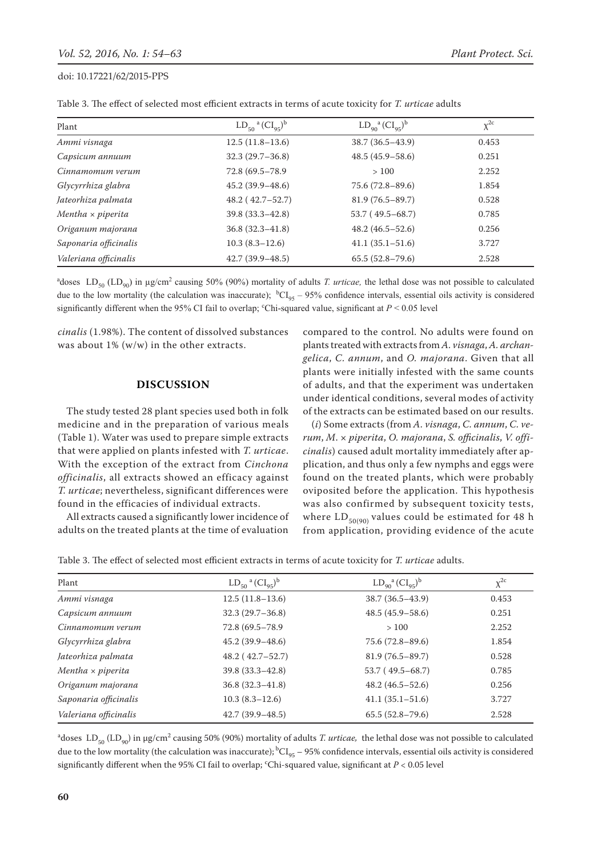| Plant                    | $LD_{50}$ <sup>a</sup> $(Cl_{95})^b$ | $LD_{q_0}^a (CI_{q_5})^b$ | $\chi^{2c}$ |
|--------------------------|--------------------------------------|---------------------------|-------------|
| Ammi visnaga             | $12.5(11.8-13.6)$                    | $38.7(36.5-43.9)$         | 0.453       |
| Capsicum annuum          | $32.3(29.7-36.8)$                    | $48.5(45.9 - 58.6)$       | 0.251       |
| Cinnamomum verum         | 72.8 (69.5-78.9)                     | >100                      | 2.252       |
| Glycyrrhiza glabra       | $45.2(39.9 - 48.6)$                  | $75.6(72.8-89.6)$         | 1.854       |
| Jateorhiza palmata       | $48.2(42.7-52.7)$                    | $81.9(76.5-89.7)$         | 0.528       |
| Mentha $\times$ piperita | $39.8(33.3 - 42.8)$                  | 53.7 (49.5–68.7)          | 0.785       |
| Origanum majorana        | $36.8(32.3 - 41.8)$                  | $48.2(46.5-52.6)$         | 0.256       |
| Saponaria officinalis    | $10.3(8.3-12.6)$                     | $41.1(35.1 - 51.6)$       | 3.727       |
| Valeriana officinalis    | $42.7(39.9 - 48.5)$                  | $65.5(52.8 - 79.6)$       | 2.528       |

<sup>a</sup>doses  $LD_{50} (LD_{90})$  in  $\mu$ g/cm<sup>2</sup> causing 50% (90%) mortality of adults *T. urticae*, the lethal dose was not possible to calculated due to the low mortality (the calculation was inaccurate);  ${}^{\text{b}}\text{Cl}_{95}$  – 95% confidence intervals, essential oils activity is considered significantly different when the 95% CI fail to overlap; <sup>c</sup>Chi-squared value, significant at  $P < 0.05$  level

*cinalis* (1.98%). The content of dissolved substances was about  $1\%$  (w/w) in the other extracts.

# **Discussion**

The study tested 28 plant species used both in folk medicine and in the preparation of various meals (Table 1). Water was used to prepare simple extracts that were applied on plants infested with *T. urticae*. With the exception of the extract from *Cinchona officinalis*, all extracts showed an efficacy against *T. urticae*; nevertheless, significant differences were found in the efficacies of individual extracts.

All extracts caused a significantly lower incidence of adults on the treated plants at the time of evaluation compared to the control. No adults were found on plants treated with extracts from *A. visnaga*, *A. archangelica*, *C. annum*, and *O. majorana*. Given that all plants were initially infested with the same counts of adults, and that the experiment was undertaken under identical conditions, several modes of activity of the extracts can be estimated based on our results.

(*i*) Some extracts (from *A. visnaga*, *C. annum*, *C. verum*, *M*. × *piperita*, *O. majorana*, *S. officinalis*, *V. officinalis*) caused adult mortality immediately after application, and thus only a few nymphs and eggs were found on the treated plants, which were probably oviposited before the application. This hypothesis was also confirmed by subsequent toxicity tests, where  $LD_{50(90)}$  values could be estimated for 48 h from application, providing evidence of the acute

Table 3. The effect of selected most efficient extracts in terms of acute toxicity for *T. urticae* adults.

| Plant                    | $LD_{50}$ <sup>a</sup> $(Cl_{95})^b$ | $LD_{q_0}^a (Cl_{q_5})^b$ | $\chi^{2c}$ |
|--------------------------|--------------------------------------|---------------------------|-------------|
| Ammi visnaga             | $12.5(11.8-13.6)$                    | $38.7(36.5-43.9)$         | 0.453       |
| Capsicum annuum          | $32.3(29.7-36.8)$                    | $48.5(45.9 - 58.6)$       | 0.251       |
| Cinnamomum verum         | 72.8 (69.5 - 78.9)                   | >100                      | 2.252       |
| Glycyrrhiza glabra       | $45.2(39.9 - 48.6)$                  | $75.6(72.8-89.6)$         | 1.854       |
| Jateorhiza palmata       | $48.2(42.7-52.7)$                    | $81.9(76.5 - 89.7)$       | 0.528       |
| Mentha $\times$ piperita | $39.8(33.3 - 42.8)$                  | $53.7(49.5-68.7)$         | 0.785       |
| Origanum majorana        | $36.8(32.3 - 41.8)$                  | $48.2(46.5 - 52.6)$       | 0.256       |
| Saponaria officinalis    | $10.3(8.3-12.6)$                     | $41.1(35.1 - 51.6)$       | 3.727       |
| Valeriana officinalis    | $42.7(39.9 - 48.5)$                  | $65.5(52.8 - 79.6)$       | 2.528       |

 $^a$ doses  $\text{LD}_{50}$  (LD<sub>90</sub>) in  $\mu$ g/cm $^2$  causing 50% (90%) mortality of adults *T. urticae,* the lethal dose was not possible to calculated due to the low mortality (the calculation was inaccurate);  ${}^{\text{b}}Cl_{95}$  – 95% confidence intervals, essential oils activity is considered significantly different when the 95% CI fail to overlap;  $\text{``Chi-squared value, significant at $P < 0.05$ level}$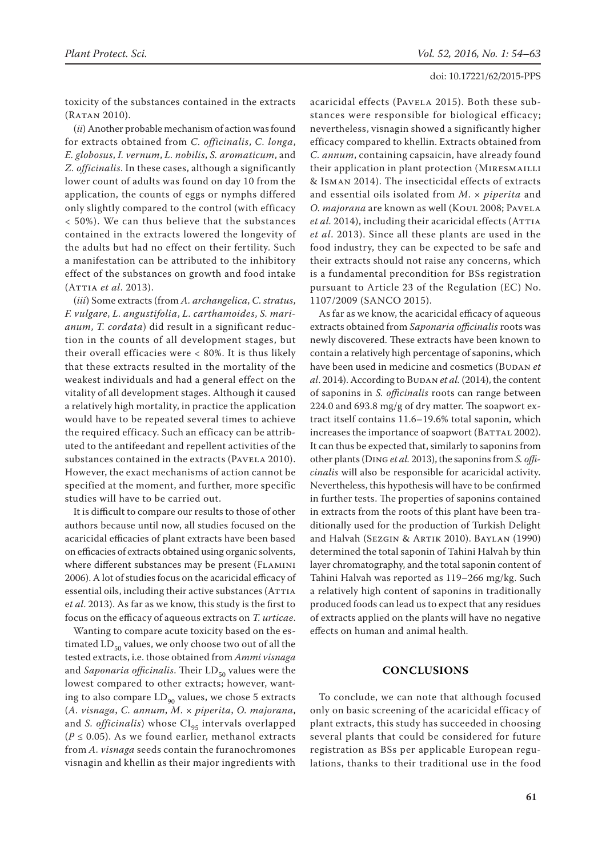toxicity of the substances contained in the extracts (Ratan 2010).

(*ii*) Another probable mechanism of action was found for extracts obtained from *C. officinalis*, *C. longa*, *E. globosus*, *I. vernum*, *L. nobilis*, *S. aromaticum*, and *Z. officinalis*. In these cases, although a significantly lower count of adults was found on day 10 from the application, the counts of eggs or nymphs differed only slightly compared to the control (with efficacy < 50%). We can thus believe that the substances contained in the extracts lowered the longevity of the adults but had no effect on their fertility. Such a manifestation can be attributed to the inhibitory effect of the substances on growth and food intake (Attia *et al*. 2013).

(*iii*) Some extracts (from *A. archangelica*, *C. stratus*, *F. vulgare*, *L. angustifolia*, *L. carthamoides*, *S. marianum*, *T. cordata*) did result in a significant reduction in the counts of all development stages, but their overall efficacies were < 80%. It is thus likely that these extracts resulted in the mortality of the weakest individuals and had a general effect on the vitality of all development stages. Although it caused a relatively high mortality, in practice the application would have to be repeated several times to achieve the required efficacy. Such an efficacy can be attributed to the antifeedant and repellent activities of the substances contained in the extracts (PAVELA 2010). However, the exact mechanisms of action cannot be specified at the moment, and further, more specific studies will have to be carried out.

It is difficult to compare our results to those of other authors because until now, all studies focused on the acaricidal efficacies of plant extracts have been based on efficacies of extracts obtained using organic solvents, where different substances may be present (FLAMINI 2006). A lot of studies focus on the acaricidal efficacy of essential oils, including their active substances (ATTIA e*t al*. 2013). As far as we know, this study is the first to focus on the efficacy of aqueous extracts on *T. urticae*.

Wanting to compare acute toxicity based on the estimated  $LD_{50}$  values, we only choose two out of all the tested extracts, i.e. those obtained from *Ammi visnaga*  and *Saponaria officinalis*. Their LD<sub>50</sub> values were the lowest compared to other extracts; however, wanting to also compare  $LD_{90}$  values, we chose 5 extracts (*A. visnaga*, *C. annum*, *M*. × *piperita*, *O. majorana*, and *S. officinalis*) whose CI<sub>95</sub> intervals overlapped  $(P \le 0.05)$ . As we found earlier, methanol extracts from *A. visnaga* seeds contain the furanochromones visnagin and khellin as their major ingredients with acaricidal effects (Pavela 2015). Both these substances were responsible for biological efficacy; nevertheless, visnagin showed a significantly higher efficacy compared to khellin. Extracts obtained from *C. annum*, containing capsaicin, have already found their application in plant protection (MIRESMAILLI & Isman 2014). The insecticidal effects of extracts and essential oils isolated from *M*. × *piperita* and *O. majorana* are known as well (Koul 2008; Pavela *et al.* 2014), including their acaricidal effects (ATTIA *et al*. 2013). Since all these plants are used in the food industry, they can be expected to be safe and their extracts should not raise any concerns, which is a fundamental precondition for BSs registration pursuant to Article 23 of the Regulation (EC) No. 1107/2009 (SANCO 2015).

As far as we know, the acaricidal efficacy of aqueous extracts obtained from *Saponaria officinalis* roots was newly discovered. These extracts have been known to contain a relatively high percentage of saponins, which have been used in medicine and cosmetics (BUDAN et *al.* 2014). According to BUDAN *et al.* (2014), the content of saponins in *S. officinalis* roots can range between 224.0 and 693.8 mg/g of dry matter. The soapwort extract itself contains 11.6–19.6% total saponin, which increases the importance of soapwort (BATTAL 2002). It can thus be expected that, similarly to saponins from other plants (Ding *et al.* 2013), the saponins from *S. officinalis* will also be responsible for acaricidal activity. Nevertheless, this hypothesis will have to be confirmed in further tests. The properties of saponins contained in extracts from the roots of this plant have been traditionally used for the production of Turkish Delight and Halvah (Sezgin & Artik 2010). Baylan (1990) determined the total saponin of Tahini Halvah by thin layer chromatography, and the total saponin content of Tahini Halvah was reported as 119–266 mg/kg. Such a relatively high content of saponins in traditionally produced foods can lead us to expect that any residues of extracts applied on the plants will have no negative effects on human and animal health.

# **Conclusions**

To conclude, we can note that although focused only on basic screening of the acaricidal efficacy of plant extracts, this study has succeeded in choosing several plants that could be considered for future registration as BSs per applicable European regulations, thanks to their traditional use in the food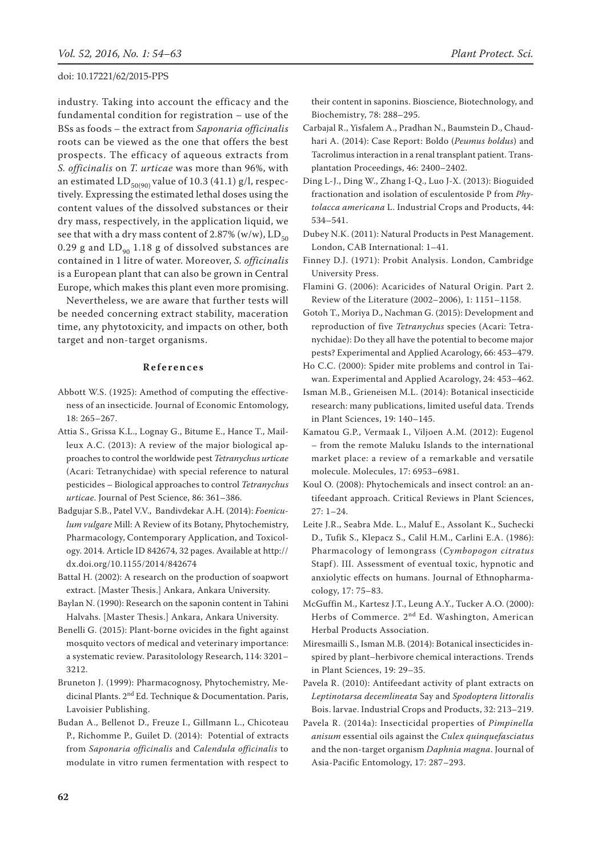industry. Taking into account the efficacy and the fundamental condition for registration – use of the BSs as foods – the extract from *Saponaria officinalis* roots can be viewed as the one that offers the best prospects. The efficacy of aqueous extracts from *S. officinalis* on *T. urticae* was more than 96%, with an estimated LD<sub>50(90)</sub> value of 10.3 (41.1) g/l, respectively. Expressing the estimated lethal doses using the content values of the dissolved substances or their dry mass, respectively, in the application liquid, we see that with a dry mass content of 2.87% (w/w),  $LD_{50}$ 0.29 g and  $LD_{90}$  1.18 g of dissolved substances are contained in 1 litre of water. Moreover, *S. officinalis* is a European plant that can also be grown in Central Europe, which makes this plant even more promising.

Nevertheless, we are aware that further tests will be needed concerning extract stability, maceration time, any phytotoxicity, and impacts on other, both target and non-target organisms.

## **References**

- Abbott W.S. (1925): Amethod of computing the effectiveness of an insecticide. Journal of Economic Entomology, 18: 265–267.
- Attia S., Grissa K.L., Lognay G., Bitume E., Hance T., Mailleux A.C. (2013): A review of the major biological approaches to control the worldwide pest *Tetranychus urticae* (Acari: Tetranychidae) with special reference to natural pesticides – Biological approaches to control *Tetranychus urticae*. Journal of Pest Science, 86: 361–386.
- Badgujar S.B., Patel V.V., Bandivdekar A.H. (2014): *Foeniculum vulgare* Mill: A Review of its Botany, Phytochemistry, Pharmacology, Contemporary Application, and Toxicology. 2014. Article ID 842674, 32 pages. Available at http:// dx.doi.org/10.1155/2014/842674
- Battal H. (2002): A research on the production of soapwort extract. [Master Thesis.] Ankara, Ankara University.
- Baylan N. (1990): Research on the saponin content in Tahini Halvahs. [Master Thesis.] Ankara, Ankara University.
- Benelli G. (2015): Plant-borne ovicides in the fight against mosquito vectors of medical and veterinary importance: a systematic review. Parasitolology Research, 114: 3201– 3212.

Bruneton J. (1999): Pharmacognosy, Phytochemistry, Medicinal Plants. 2<sup>nd</sup> Ed. Technique & Documentation. Paris, Lavoisier Publishing.

Budan A., Bellenot D., Freuze I., Gillmann L., Chicoteau P., Richomme P., Guilet D. (2014): Potential of extracts from *Saponaria officinalis* and *Calendula officinalis* to modulate in vitro rumen fermentation with respect to their content in saponins. Bioscience, Biotechnology, and Biochemistry, 78: 288–295.

- Carbajal R., Yisfalem A., Pradhan N., Baumstein D., Chaudhari A. (2014): Case Report: Boldo (*Peumus boldus*) and Tacrolimus interaction in a renal transplant patient. Transplantation Proceedings, 46: 2400–2402.
- Ding L-J., Ding W., Zhang I-Q., Luo J-X. (2013): Bioguided fractionation and isolation of esculentoside P from *Phytolacca americana* L. Industrial Crops and Products, 44: 534–541.
- Dubey N.K. (2011): Natural Products in Pest Management. London, CAB International: 1–41.
- Finney D.J. (1971): Probit Analysis. London, Cambridge University Press.
- Flamini G. (2006): Acaricides of Natural Origin. Part 2. Review of the Literature (2002–2006), 1: 1151–1158.
- Gotoh T., Moriya D., Nachman G. (2015): Development and reproduction of five *Tetranychus* species (Acari: Tetranychidae): Do they all have the potential to become major pests? Experimental and Applied Acarology, 66: 453–479.
- Ho C.C. (2000): Spider mite problems and control in Taiwan. Experimental and Applied Acarology, 24: 453–462.
- Isman M.B., Grieneisen M.L. (2014): Botanical insecticide research: many publications, limited useful data. Trends in Plant Sciences, 19: 140–145.
- Kamatou G.P., Vermaak I., Viljoen A.M. (2012): Eugenol – from the remote Maluku Islands to the international market place: a review of a remarkable and versatile molecule. Molecules, 17: 6953–6981.
- Koul O. (2008): Phytochemicals and insect control: an antifeedant approach. Critical Reviews in Plant Sciences, 27: 1–24.
- Leite J.R., Seabra Mde. L., Maluf E., Assolant K., Suchecki D., Tufik S., Klepacz S., Calil H.M., Carlini E.A. (1986): Pharmacology of lemongrass (*Cymbopogon citratus* Stapf). III. Assessment of eventual toxic, hypnotic and anxiolytic effects on humans. Journal of Ethnopharmacology, 17: 75–83.
- McGuffin M., Kartesz J.T., Leung A.Y., Tucker A.O. (2000): Herbs of Commerce. 2nd Ed. Washington, American Herbal Products Association.
- Miresmailli S., Isman M.B. (2014): Botanical insecticides inspired by plant–herbivore chemical interactions. Trends in Plant Sciences, 19: 29–35.
- Pavela R. (2010): Antifeedant activity of plant extracts on *Leptinotarsa decemlineata* Say and *Spodoptera littoralis* Bois. larvae. Industrial Crops and Products, 32: 213–219.
- Pavela R. (2014a): Insecticidal properties of *Pimpinella anisum* essential oils against the *Culex quinquefasciatus* and the non-target organism *Daphnia magna*. Journal of Asia-Pacific Entomology, 17: 287–293.